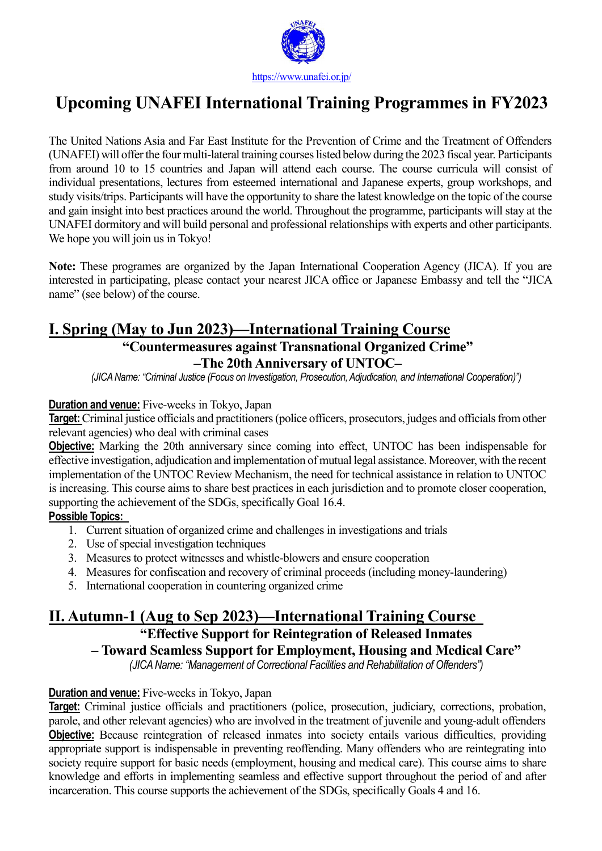

# **Upcoming UNAFEI International Training Programmes in FY2023**

The United Nations Asia and Far East Institute for the Prevention of Crime and the Treatment of Offenders (UNAFEI) will offer the four multi-lateral training courses listed below during the 2023 fiscal year. Participants from around 10 to 15 countries and Japan will attend each course. The course curricula will consist of individual presentations, lectures from esteemed international and Japanese experts, group workshops, and study visits/trips. Participants will have the opportunity to share the latest knowledge on the topic of the course and gain insight into best practices around the world. Throughout the programme, participants will stay at the UNAFEI dormitory and will build personal and professional relationships with experts and other participants. We hope you will join us in Tokyo!

**Note:** These programes are organized by the Japan International Cooperation Agency (JICA). If you are interested in participating, please contact your nearest JICA office or Japanese Embassy and tell the "JICA name" (see below) of the course.

# **I. Spring (May to Jun 2023)—International Training Course**

# **"Countermeasures against Transnational Organized Crime" –The 20th Anniversary of UNTOC–**

*(JICAName: "Criminal Justice (Focus on Investigation, Prosecution,Adjudication, and International Cooperation)")*

#### **Duration and venue:** Five-weeks in Tokyo, Japan

Target: Criminal justice officials and practitioners (police officers, prosecutors, judges and officials from other relevant agencies) who deal with criminal cases

**Objective:** Marking the 20th anniversary since coming into effect, UNTOC has been indispensable for effective investigation, adjudication and implementation of mutual legal assistance. Moreover, with the recent implementation of the UNTOC Review Mechanism, the need for technical assistance in relation to UNTOC is increasing. This course aims to share best practices in each jurisdiction and to promote closer cooperation, supporting the achievement of the SDGs, specifically Goal 16.4.

### **Possible Topics:**

- 1. Current situation of organized crime and challenges in investigations and trials
- 2. Use of special investigation techniques
- 3. Measures to protect witnesses and whistle-blowers and ensure cooperation
- 4. Measures for confiscation and recovery of criminal proceeds (including money-laundering)
- 5. International cooperation in countering organized crime

# **II. Autumn-1 (Aug to Sep 2023)—International Training Course**

# **"Effective Support for Reintegration of Released Inmates**

**– Toward Seamless Support for Employment, Housing and Medical Care"**

*(JICAName: "Management of Correctional Facilities and Rehabilitation of Offenders")*

### **Duration and venue:** Five-weeks in Tokyo, Japan

**Target:** Criminal justice officials and practitioners (police, prosecution, judiciary, corrections, probation, parole, and other relevant agencies) who are involved in the treatment of juvenile and young-adult offenders **Objective:** Because reintegration of released inmates into society entails various difficulties, providing appropriate support is indispensable in preventing reoffending. Many offenders who are reintegrating into society require support for basic needs (employment, housing and medical care). This course aims to share knowledge and efforts in implementing seamless and effective support throughout the period of and after incarceration. This course supports the achievement of the SDGs, specifically Goals 4 and 16.